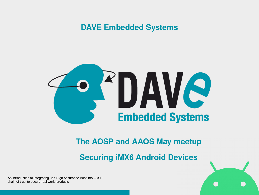**DAVE Embedded Systems**



### **The AOSP and AAOS May meetup**

### **Securing iMX6 Android Devices**

 $\overline{1}$ 

An introduction to integrating iMX High Assurance Boot into AOSP chain of trust to secure real world products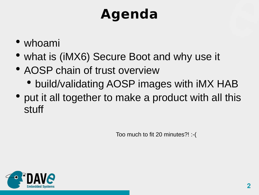# **Agenda**

- whoami
- what is (iMX6) Secure Boot and why use it
- AOSP chain of trust overview
	- build/validating AOSP images with iMX HAB
- put it all together to make a product with all this stuff

Too much to fit 20 minutes?! :-(

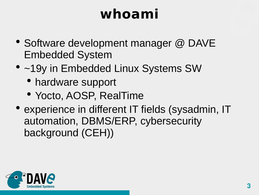### **whoami**

- Software development manager @ DAVE Embedded System
- ~19y in Embedded Linux Systems SW
	- hardware support
	- Yocto, AOSP, RealTime
- experience in different IT fields (sysadmin, IT automation, DBMS/ERP, cybersecurity background (CEH))

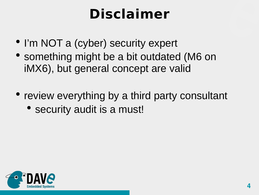### **Disclaimer**

- I'm NOT a (cyber) security expert
- something might be a bit outdated (M6 on iMX6), but general concept are valid
- review everything by a third party consultant
	- security audit is a must!

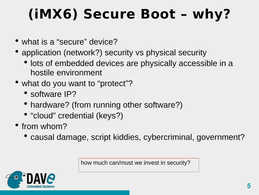# **(iMX6) Secure Boot – why?**

- what is a "secure" device?
- application (network?) security vs physical security
	- lots of embedded devices are physically accessible in a hostile environment
- what do you want to "protect"?
	- software IP?
	- hardware? (from running other software?)
	- "cloud" credential (keys?)
- from whom?
	- causal damage, script kiddies, cybercriminal, government?

how much can/must we invest in security?

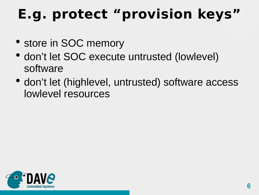# **E.g. protect "provision keys"**

- store in SOC memory
- don't let SOC execute untrusted (lowlevel) software
- don't let (highlevel, untrusted) software access lowlevel resources

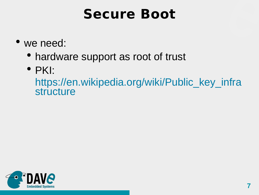### **Secure Boot**

- we need:
	- hardware support as root of trust
	- PKI:

https://en.wikipedia.org/wiki/Public key infra [structure](https://en.wikipedia.org/wiki/Public_key_infrastructure)

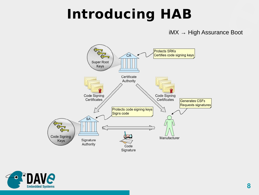### **Introducing HAB**

 $i$ MX  $\rightarrow$  High Assurance Boot



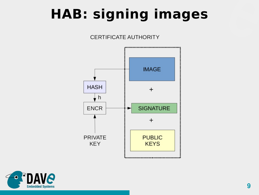### **HAB: signing images**

### **CERTIFICATE AUTHORITY**



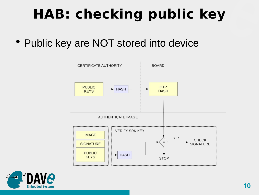### **HAB: checking public key**

• Public key are NOT stored into device



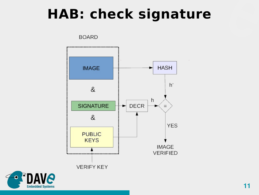### **HAB: check signature**

**BOARD** 



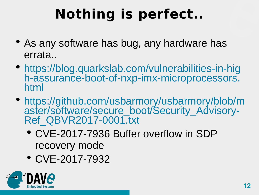# **Nothing is perfect..**

- As any software has bug, any hardware has errata..
- [https://blog.quarkslab.com/vulnerabilities-in-hig](https://blog.quarkslab.com/vulnerabilities-in-high-assurance-boot-of-nxp-imx-microprocessors.html) [h-assurance-boot-of-nxp-imx-microprocessors.](https://blog.quarkslab.com/vulnerabilities-in-high-assurance-boot-of-nxp-imx-microprocessors.html) [html](https://blog.quarkslab.com/vulnerabilities-in-high-assurance-boot-of-nxp-imx-microprocessors.html)
- [https://github.com/usbarmory/usbarmory/blob/m](https://github.com/usbarmory/usbarmory/blob/master/software/secure_boot/Security_Advisory-Ref_QBVR2017-0001.txt) [aster/software/secure\\_boot/Security\\_Advisory-](https://github.com/usbarmory/usbarmory/blob/master/software/secure_boot/Security_Advisory-Ref_QBVR2017-0001.txt)[Ref\\_QBVR2017-0001.txt](https://github.com/usbarmory/usbarmory/blob/master/software/secure_boot/Security_Advisory-Ref_QBVR2017-0001.txt)
	- CVE-2017-7936 Buffer overflow in SDP recovery mode
	- CVE-2017-7932

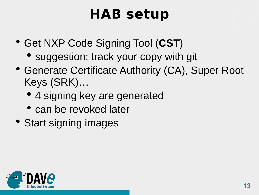### **HAB setup**

- Get NXP Code Signing Tool (**CST**)
	- suggestion: track your copy with git
- Generate Certificate Authority (CA), Super Root Keys (SRK)…
	- 4 signing key are generated
	- can be revoked later
- Start signing images

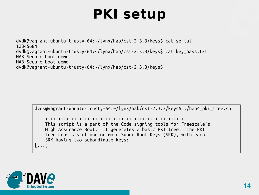### **PKI setup**

dvdk@vagrant-ubuntu-trusty-64:~/lynx/hab/cst-2.3.3/keys\$ cat serial 12345684 dvdk@vagrant-ubuntu-trusty-64:~/lynx/hab/cst-2.3.3/keys\$ cat key\_pass.txt HAB Secure boot demo HAB Secure boot demo dvdk@vagrant-ubuntu-trusty-64:~/lynx/hab/cst-2.3.3/keys\$

dvdk@vagrant-ubuntu-trusty-64:~/lynx/hab/cst-2.3.3/keys\$ ./hab4\_pki\_tree.sh

 +++++++++++++++++++++++++++++++++++++++++++++++++++++ This script is a part of the Code signing tools for Freescale's High Assurance Boot. It generates a basic PKI tree. The PKI tree consists of one or more Super Root Keys (SRK), with each SRK having two subordinate keys:  $[\ldots]$ 

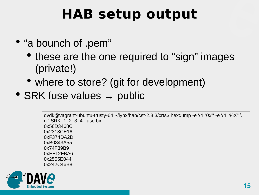### **HAB setup output**

- "a bounch of .pem"
	- these are the one required to "sign" images (private!)
	- where to store? (git for development)
- SRK fuse values  $\rightarrow$  public

```
dvdk@vagrant-ubuntu-trusty-64:~/lynx/hab/cst-2.3.3/crts$ hexdump -e '/4 "0x"' -e '/4 "%X""\
n"' SRK 1 2 3 4 fuse.bin
0x56D3468C
0x2313CE16
0xF374DA2D
0xB0843A55
0x74F39B9
0xEF12FBA6
0x2555E044
0x242C46B8
```
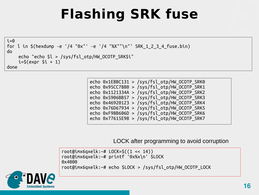### **Flashing SRK fuse**

```
i=0for l in $(hexdump -e '/4 "0x"' -e '/4 "%X""\n"' SRK_1_2_3_4_fuse.bin)
do
    echo "echo $l > /sys/fsl_otp/HW_OCOTP_SRK$i"
    i=$(expr $i + 1)
done
```


LOCK after programming to avoid corruption

```
root@imx6qxelk:~# LOCK=$((1 << 14))
root@imx6qxelk:~# printf '0x%x\n' $LOCK
0x4000
root@imx6qxelk:~# echo $LOCK > /sys/fsl_otp/HW_OCOTP_LOCK
```
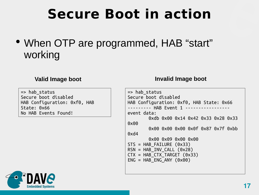### **Secure Boot in action**

### • When OTP are programmed, HAB "start" working

=> hab\_status Secure boot disabled HAB Configuration: 0xf0, HAB State: 0x66 No HAB Events Found!

### **Valid Image boot Invalid Image boot**

| => hab status                                    |  |
|--------------------------------------------------|--|
| Secure boot disabled                             |  |
| HAB Configuration: 0xf0, HAB State: 0x66         |  |
| --------- HAB Event 1 ---------------            |  |
| event data:                                      |  |
| 0xdb 0x00 0x14 0x42 0x33 0x28 0x33               |  |
| 0x00                                             |  |
| $0x00$ $0x00$ $0x00$ $0x0f$ $0x87$ $0x7f$ $0xbb$ |  |
| $0$ xd $4$                                       |  |
| $0x00$ $0x09$ $0x00$ $0x00$                      |  |
| $STS = HAB$ FAILURE (0x33)                       |  |
| $RSN = HAB$ INV CALL $(0x28)$                    |  |
| $CYX = HAB CTX TARGET (0x33)$                    |  |
| $ENG = HAB ENG ANY (0x00)$                       |  |
|                                                  |  |

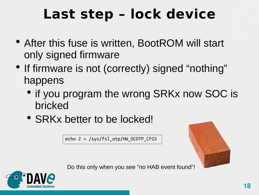### **Last step – lock device**

- After this fuse is written, BootROM will start only signed firmware
- If firmware is not (correctly) signed "nothing" happens
	- if you program the wrong SRKx now SOC is bricked
	- SRKx better to be locked!

echo 2 > /sys/fsl\_otp/HW\_OCOTP\_CFG5



Do this only when you see "no HAB event found"!

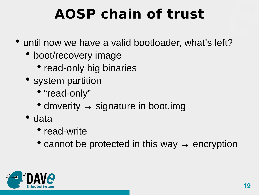# **AOSP chain of trust**

- until now we have a valid bootloader, what's left?
	- boot/recovery image
		- read-only big binaries
	- system partition
		- "read-only"
		- dmverity  $\rightarrow$  signature in boot.img
	- data
		- read-write
		- cannot be protected in this way  $\rightarrow$  encryption

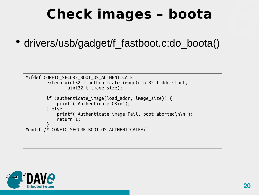### **Check images – boota**

• drivers/usb/gadget/f fastboot.c:do boota()

```
#ifdef CONFIG SECURE BOOT OS AUTHENTICATE
        extern uint32 t authenticate image(uint32 t ddr start,
                 uint32_t image_size);
        if (authenticate image(load addr, image size)) {
             printf("Authenticate OK\n");
         } else {
             printf("Authenticate image Fail, boot aborted\n\n");
             return 1;
 }
#endif /* CONFIG_SECURE_BOOT_OS_AUTHENTICATE*/
```
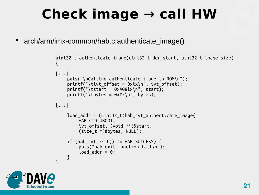### **Check image → call HW**

• arch/arm/imx-common/hab.c:authenticate\_image()

```
uint32 t authenticate image(uint32 t ddr start, uint32 t image size)
\{[...]
    puts("\nCalling authenticate image in ROM\n");
    printf("\tivt offset = 0x%x\n", ivt offset);
    printf("tstart = 0x%08lx\n\ ^", start);
    printf("\tbytes = 0x%x\n", bytes);
[...]
    load addr = (uint32 t)hab rvt authenticate image(
        HAB CID UBOOT,
         ivt offset, (void **)&start,
         (size_t *)&bytes, NULL);
    if (hab rvt exit() != HAB SUCCESS) {
         puts("hab exit function fail\n");
         load addr = 0;
    }
}
```
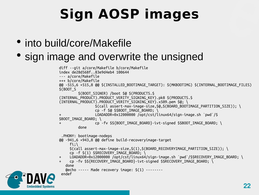# **Sign AOSP images**

• into build/core/Makefile

### • sign image and overwrite the unsigned

diff --git a/core/Makefile b/core/Makefile index de28d568f..83e9d4eb4 100644 --- a/core/Makefile +++ b/core/Makefile @@ -515,6 +515,8 @@ \$(INSTALLED\_BOOTIMAGE\_TARGET): \$(MKBOOTIMG) \$(INTERNAL\_BOOTIMAGE\_FILES) \$(BOOT\_S \$(BOOT\_SIGNER) /boot \$@ \$(PRODUCTS.\$ (INTERNAL\_PRODUCT).PRODUCT\_VERITY\_SIGNING\_KEY).pk8 \$(PRODUCTS.\$ (INTERNAL\_PRODUCT).PRODUCT\_VERITY\_SIGNING\_KEY).x509.pem \$@; \ \$(call assert-max-image-size,\$@,\$(BOARD\_BOOTIMAGE\_PARTITION\_SIZE)); \ cp -f \$@ \$\$BOOT\_IMAGE\_BOARD; \ + LOADADDR=0x12000000 /opt/cst/linux64/sign-image.sh `pwd`/\$ \$BOOT\_IMAGE\_BOARD; \ + cp -fv \$\${BOOT\_IMAGE\_BOARD}-ivt-signed \$\$BOOT\_IMAGE\_BOARD; \ done .PHONY: bootimage-nodeps @@ -941,6 +943,8 @@ define build-recoveryimage-target  $f$ i;\  $\frac{1}{2}$  (call assert-max-image-size, $\frac{1}{2}$ (1), $\frac{1}{2}$ (BOARD RECOVERYIMAGE PARTITION SIZE)); \  $cp -f \xi(1) \xi$ SRECOVERY IMAGE BOARD; \ + LOADADDR=0x12000000 /opt/cst/linux64/sign-image.sh `pwd`/\$\$RECOVERY\_IMAGE\_BOARD; \  $\overline{p}$  -fv \$\${RECOVERY\_IMAGE\_BOARD}-ivt-signed \$\$RECOVERY\_IMAGE\_BOARD;  $\overline{p}$  done @echo ----- Made recovery image: \$(1) ------- endef

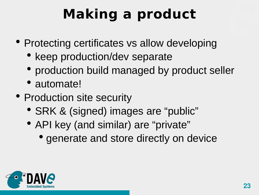# **Making a product**

- Protecting certificates vs allow developing
	- keep production/dev separate
	- production build managed by product seller
	- automate!
- Production site security
	- SRK & (signed) images are "public"
	- API key (and similar) are "private"
		- generate and store directly on device

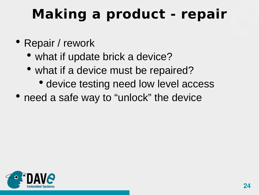### **Making a product - repair**

- Repair / rework
	- what if update brick a device?
	- what if a device must be repaired?
		- device testing need low level access
- need a safe way to "unlock" the device

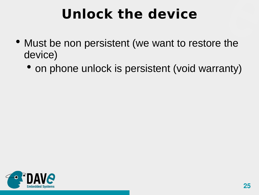## **Unlock the device**

- Must be non persistent (we want to restore the device)
	- on phone unlock is persistent (void warranty)

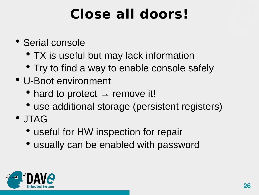### **Close all doors!**

- Serial console
	- TX is useful but may lack information
	- Try to find a way to enable console safely
- U-Boot environment
	- hard to protect  $\rightarrow$  remove it!
	- use additional storage (persistent registers)
- JTAG
	- useful for HW inspection for repair
	- usually can be enabled with password

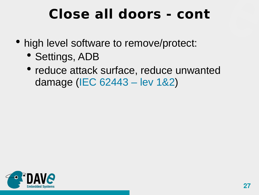### **Close all doors - cont**

- high level software to remove/protect:
	- Settings, ADB
	- reduce attack surface, reduce unwanted damage ([IEC 62443 – lev 1&2](https://en.wikipedia.org/wiki/IEC_62443#Security_Level))

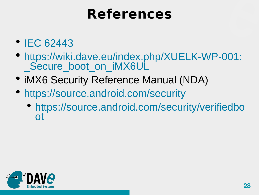### **References**

- **[IEC 62443](https://en.wikipedia.org/wiki/IEC_62443)**
- [https://wiki.dave.eu/index.php/XUELK-WP-001:](https://wiki.dave.eu/index.php/XUELK-WP-001:_Secure_boot_on_iMX6UL) [\\_Secure\\_boot\\_on\\_iMX6UL](https://wiki.dave.eu/index.php/XUELK-WP-001:_Secure_boot_on_iMX6UL)
- iMX6 Security Reference Manual (NDA)
- <https://source.android.com/security>
	- [https://source.android.com/security/verifiedbo](https://source.android.com/security/verifiedboot) [ot](https://source.android.com/security/verifiedboot)